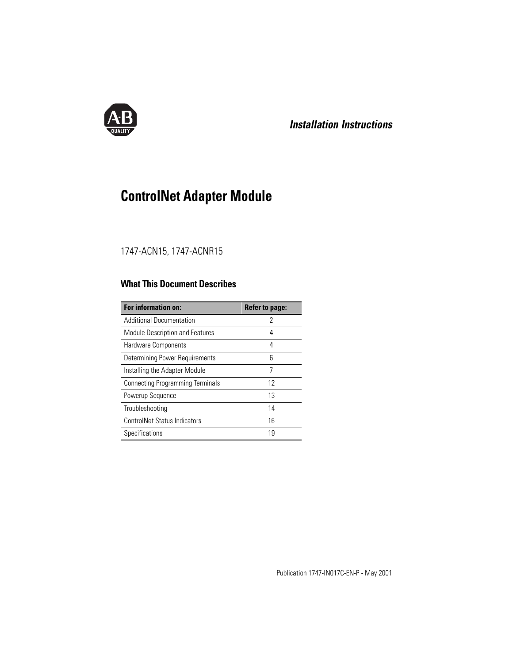

## **Installation Instructions**

# **ControlNet Adapter Module**

### 1747-ACN15, 1747-ACNR15

## **What This Document Describes**

| For information on:                     | <b>Refer to page:</b> |
|-----------------------------------------|-----------------------|
| <b>Additional Documentation</b>         | 2                     |
| <b>Module Description and Features</b>  | 4                     |
| Hardware Components                     | 4                     |
| <b>Determining Power Requirements</b>   | 6                     |
| Installing the Adapter Module           | 7                     |
| <b>Connecting Programming Terminals</b> | 12                    |
| Powerup Sequence                        | 13                    |
| Troubleshooting                         | 14                    |
| <b>ControlNet Status Indicators</b>     | 16                    |
| Specifications                          | 19                    |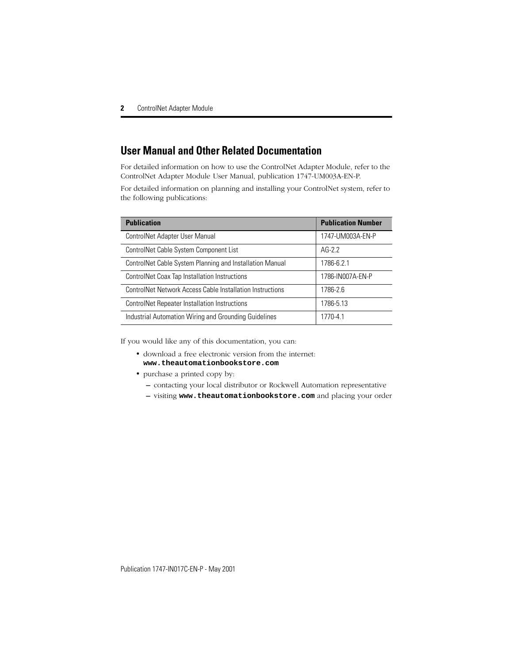## **User Manual and Other Related Documentation**

For detailed information on how to use the ControlNet Adapter Module, refer to the ControlNet Adapter Module User Manual, publication 1747-UM003A-EN-P.

For detailed information on planning and installing your ControlNet system, refer to the following publications:

| <b>Publication</b>                                        | <b>Publication Number</b> |
|-----------------------------------------------------------|---------------------------|
| ControlNet Adapter User Manual                            | 1747-UM003A-EN-P          |
| ControlNet Cable System Component List                    | $AG-2.2$                  |
| ControlNet Cable System Planning and Installation Manual  | 1786-6.2.1                |
| ControlNet Coax Tap Installation Instructions             | 1786-IN007A-EN-P          |
| ControlNet Network Access Cable Installation Instructions | 1786-2.6                  |
| <b>ControlNet Repeater Installation Instructions</b>      | 1786-5.13                 |
| Industrial Automation Wiring and Grounding Guidelines     | 1770-4.1                  |

If you would like any of this documentation, you can:

- download a free electronic version from the internet: **www.theautomationbookstore.com**
- purchase a printed copy by:
	- **–** contacting your local distributor or Rockwell Automation representative
	- **–** visiting **www.theautomationbookstore.com** and placing your order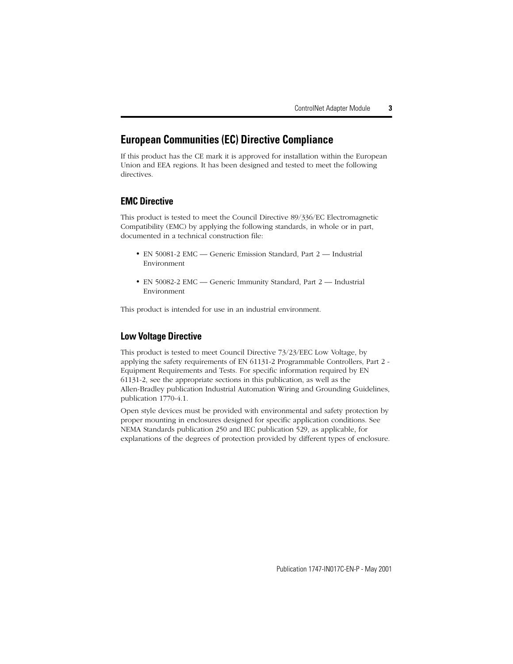### **European Communities (EC) Directive Compliance**

If this product has the CE mark it is approved for installation within the European Union and EEA regions. It has been designed and tested to meet the following directives.

### **EMC Directive**

This product is tested to meet the Council Directive 89/336/EC Electromagnetic Compatibility (EMC) by applying the following standards, in whole or in part, documented in a technical construction file:

- EN 50081-2 EMC Generic Emission Standard, Part 2 Industrial Environment
- EN 50082-2 EMC Generic Immunity Standard, Part 2 Industrial Environment

This product is intended for use in an industrial environment.

### **Low Voltage Directive**

This product is tested to meet Council Directive 73/23/EEC Low Voltage, by applying the safety requirements of EN 61131-2 Programmable Controllers, Part 2 - Equipment Requirements and Tests. For specific information required by EN 61131-2, see the appropriate sections in this publication, as well as the Allen-Bradley publication Industrial Automation Wiring and Grounding Guidelines, publication 1770-4.1.

Open style devices must be provided with environmental and safety protection by proper mounting in enclosures designed for specific application conditions. See NEMA Standards publication 250 and IEC publication 529, as applicable, for explanations of the degrees of protection provided by different types of enclosure.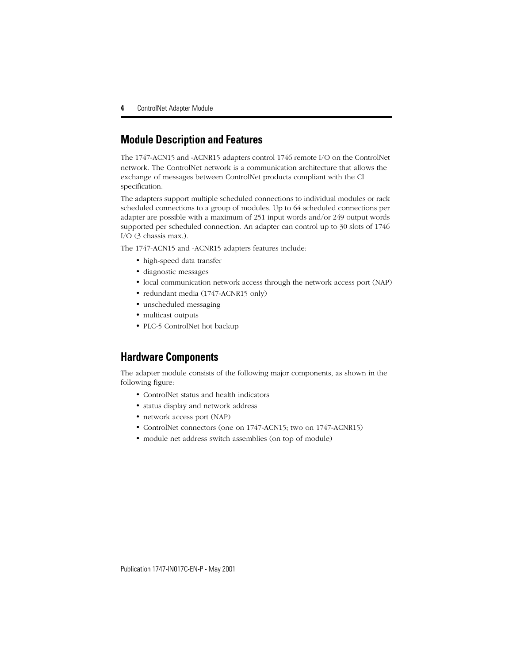## **Module Description and Features**

The 1747-ACN15 and -ACNR15 adapters control 1746 remote I/O on the ControlNet network. The ControlNet network is a communication architecture that allows the exchange of messages between ControlNet products compliant with the CI specification.

The adapters support multiple scheduled connections to individual modules or rack scheduled connections to a group of modules. Up to 64 scheduled connections per adapter are possible with a maximum of 251 input words and/or 249 output words supported per scheduled connection. An adapter can control up to 30 slots of 1746 I/O (3 chassis max.).

The 1747-ACN15 and -ACNR15 adapters features include:

- high-speed data transfer
- diagnostic messages
- local communication network access through the network access port (NAP)
- redundant media (1747-ACNR15 only)
- unscheduled messaging
- multicast outputs
- PLC-5 ControlNet hot backup

### **Hardware Components**

The adapter module consists of the following major components, as shown in the following figure:

- ControlNet status and health indicators
- status display and network address
- network access port (NAP)
- ControlNet connectors (one on 1747-ACN15; two on 1747-ACNR15)
- module net address switch assemblies (on top of module)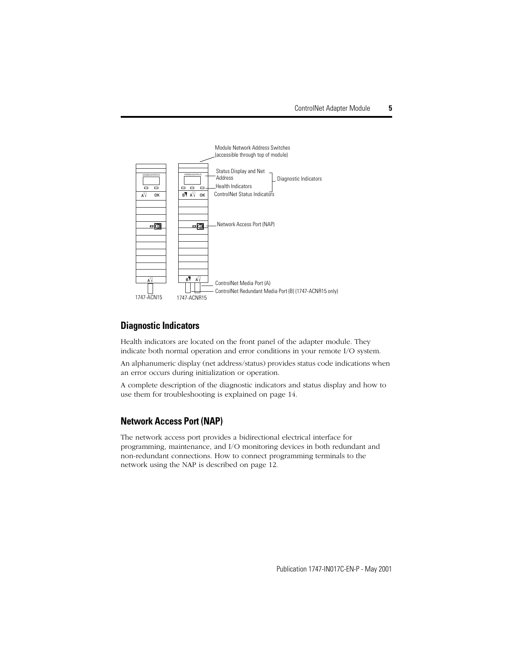

### **Diagnostic Indicators**

Health indicators are located on the front panel of the adapter module. They indicate both normal operation and error conditions in your remote I/O system.

An alphanumeric display (net address/status) provides status code indications when an error occurs during initialization or operation.

A complete description of the diagnostic indicators and status display and how to use them for troubleshooting is explained on [page 14.](#page-13-0)

### **Network Access Port (NAP)**

The network access port provides a bidirectional electrical interface for programming, maintenance, and I/O monitoring devices in both redundant and non-redundant connections. How to connect programming terminals to the network using the NAP is described on [page 12.](#page-11-0)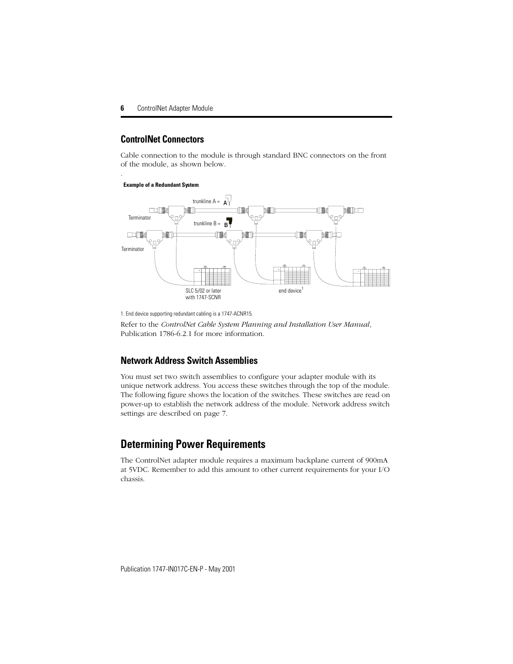### **ControlNet Connectors**

Cable connection to the module is through standard BNC connectors on the front of the module, as shown below.

#### **Example of a Redundant System**

.



1. End device supporting redundant cabling is a 1747-ACNR15.

Refer to the *ControlNet Cable System Planning and Installation User Manual*, Publication 1786-6.2.1 for more information.

### **Network Address Switch Assemblies**

You must set two switch assemblies to configure your adapter module with its unique network address. You access these switches through the top of the module. The following figure shows the location of the switches. These switches are read on power-up to establish the network address of the module. Network address switch settings are described on [page 7.](#page-6-0)

### **Determining Power Requirements**

The ControlNet adapter module requires a maximum backplane current of 900mA at 5VDC. Remember to add this amount to other current requirements for your I/O chassis.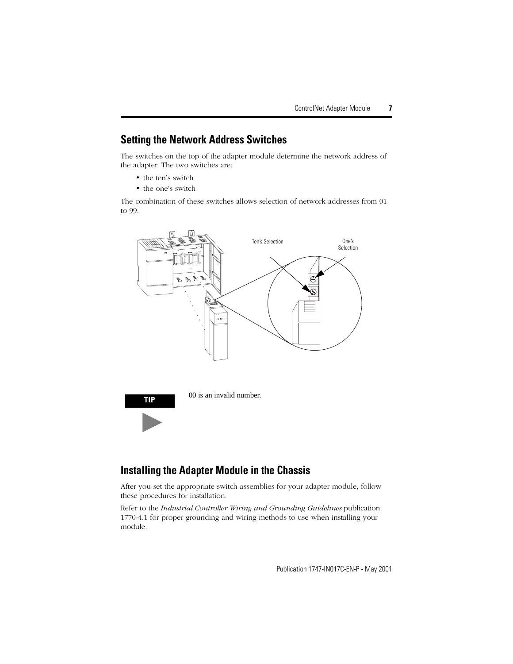### <span id="page-6-0"></span>**Setting the Network Address Switches**

The switches on the top of the adapter module determine the network address of the adapter. The two switches are:

- the ten's switch
- the one's switch

The combination of these switches allows selection of network addresses from 01 to 99.





### **Installing the Adapter Module in the Chassis**

After you set the appropriate switch assemblies for your adapter module, follow these procedures for installation.

Refer to the *Industrial Controller Wiring and Grounding Guidelines* publication 1770-4.1 for proper grounding and wiring methods to use when installing your module.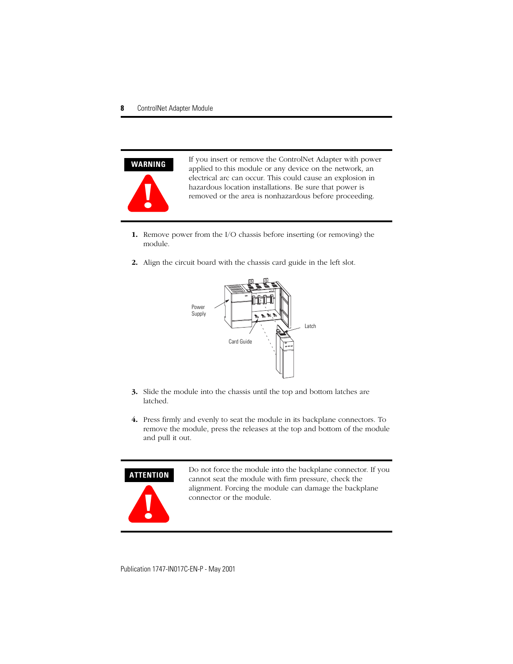

If you insert or remove the ControlNet Adapter with power applied to this module or any device on the network, an electrical arc can occur. This could cause an explosion in hazardous location installations. Be sure that power is removed or the area is nonhazardous before proceeding.

- **1.** Remove power from the I/O chassis before inserting (or removing) the module.
- **2.** Align the circuit board with the chassis card guide in the left slot.



- **3.** Slide the module into the chassis until the top and bottom latches are latched.
- **4.** Press firmly and evenly to seat the module in its backplane connectors. To remove the module, press the releases at the top and bottom of the module and pull it out.

#### **ATTENTION**



Do not force the module into the backplane connector. If you cannot seat the module with firm pressure, check the alignment. Forcing the module can damage the backplane connector or the module.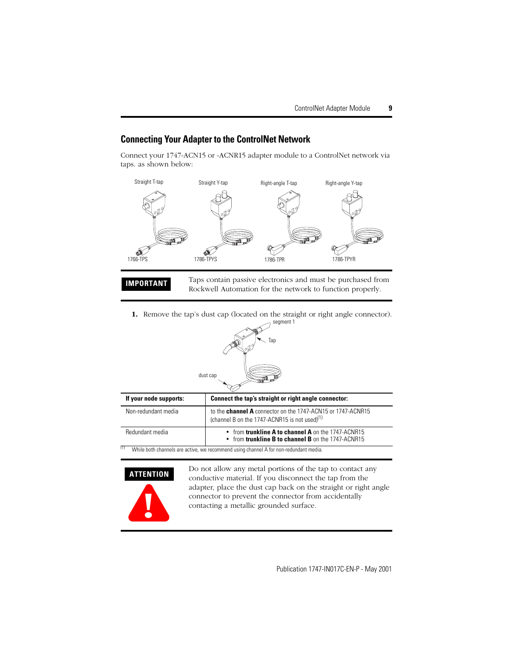### **Connecting Your Adapter to the ControlNet Network**

Connect your 1747-ACN15 or -ACNR15 adapter module to a ControlNet network via taps. as shown below:



**IMPORTANT** Taps contain passive electronics and must be purchased from Rockwell Automation for the network to function properly.

**1.** Remove the tap's dust cap (located on the straight or right angle connector).



| If your node supports: | Connect the tap's straight or right angle connector:                                                                               |
|------------------------|------------------------------------------------------------------------------------------------------------------------------------|
| Non-redundant media    | to the <b>channel A</b> connector on the 1747-ACN15 or 1747-ACNR15<br>(channel B on the 1747-ACNR15 is not used) <sup>(1)</sup>    |
| Redundant media        | • from trunkline $A$ to channel $A$ on the 1747-ACNR15<br>$\bullet$ from trunkline <b>B</b> to channel <b>B</b> on the 1747-ACNR15 |

 $(1)$  While both channels are active, we recommend using channel A for non-redundant media.



Do not allow any metal portions of the tap to contact any conductive material. If you disconnect the tap from the adapter, place the dust cap back on the straight or right angle connector to prevent the connector from accidentally contacting a metallic grounded surface.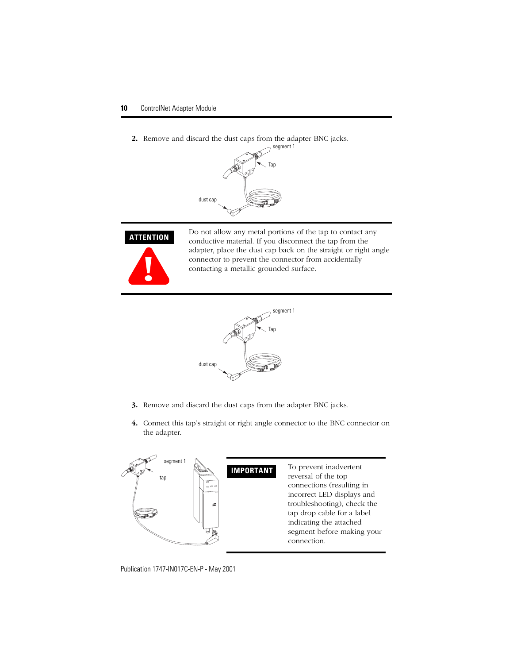**2.** Remove and discard the dust caps from the adapter BNC jacks.





Do not allow any metal portions of the tap to contact any conductive material. If you disconnect the tap from the adapter, place the dust cap back on the straight or right angle connector to prevent the connector from accidentally contacting a metallic grounded surface.



- **3.** Remove and discard the dust caps from the adapter BNC jacks.
- **4.** Connect this tap's straight or right angle connector to the BNC connector on the adapter.

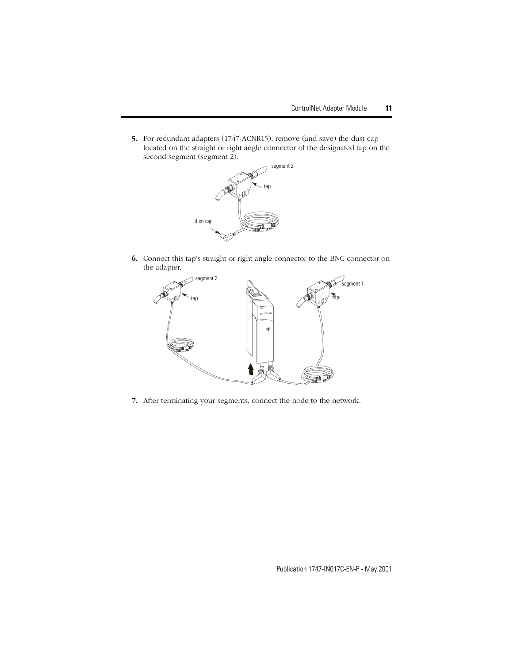**5.** For redundant adapters (1747-ACNR15), remove (and save) the dust cap located on the straight or right angle connector of the designated tap on the second segment (segment 2).



**6.** Connect this tap's straight or right angle connector to the BNC connector on the adapter.



**7.** After terminating your segments, connect the node to the network.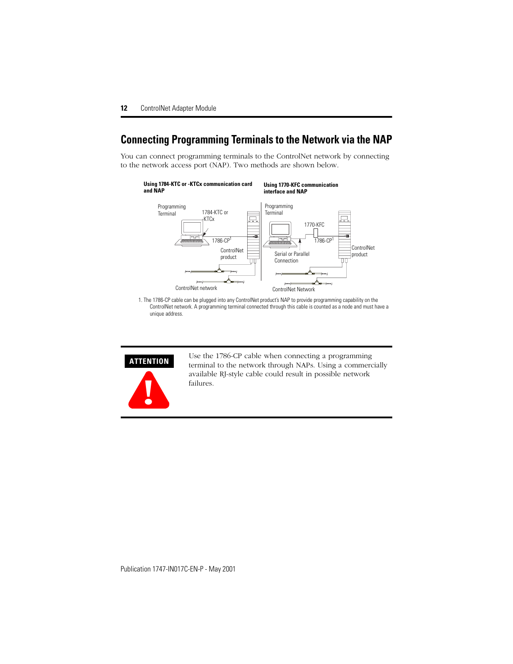## <span id="page-11-0"></span>**Connecting Programming Terminals to the Network via the NAP**

You can connect programming terminals to the ControlNet network by connecting to the network access port (NAP). Two methods are shown below.



#### **Using 1770-KFC communication interface and NAP**



1. The 1786-CP cable can be plugged into any ControlNet product's NAP to provide programming capability on the ControlNet network. A programming terminal connected through this cable is counted as a node and must have a unique address.



Use the 1786-CP cable when connecting a programming terminal to the network through NAPs. Using a commercially available RJ-style cable could result in possible network failures.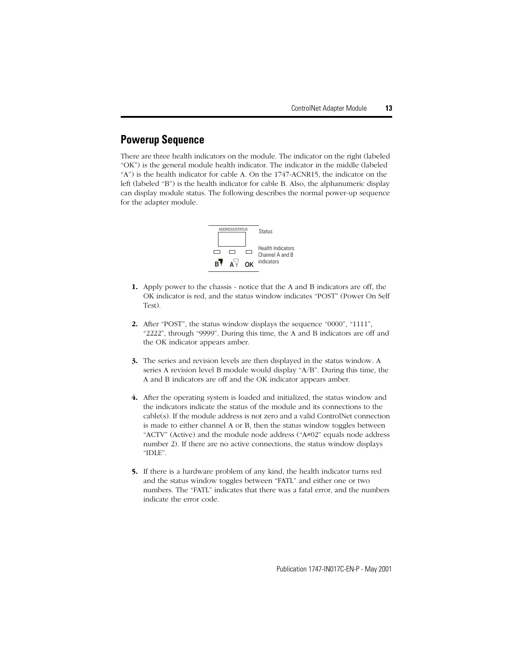## **Powerup Sequence**

There are three health indicators on the module. The indicator on the right (labeled "OK") is the general module health indicator. The indicator in the middle (labeled "A") is the health indicator for cable A. On the 1747-ACNR15, the indicator on the left (labeled "B") is the health indicator for cable B. Also, the alphanumeric display can display module status. The following describes the normal power-up sequence for the adapter module.



- **1.** Apply power to the chassis notice that the A and B indicators are off, the OK indicator is red, and the status window indicates "POST" (Power On Self Test).
- **2.** After "POST", the status window displays the sequence "0000", "1111", "2222", through "9999". During this time, the A and B indicators are off and the OK indicator appears amber.
- **3.** The series and revision levels are then displayed in the status window. A series A revision level B module would display "A/B". During this time, the A and B indicators are off and the OK indicator appears amber.
- **4.** After the operating system is loaded and initialized, the status window and the indicators indicate the status of the module and its connections to the cable(s). If the module address is not zero and a valid ControlNet connection is made to either channel A or B, then the status window toggles between "ACTV" (Active) and the module node address (" $A \neq 02$ " equals node address number 2). If there are no active connections, the status window displays "IDLE".
- **5.** If there is a hardware problem of any kind, the health indicator turns red and the status window toggles between "FATL" and either one or two numbers. The "FATL" indicates that there was a fatal error, and the numbers indicate the error code.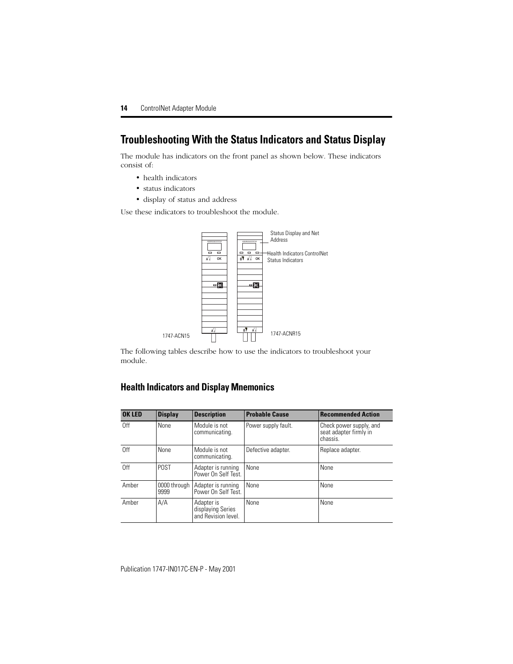## <span id="page-13-0"></span>**Troubleshooting With the Status Indicators and Status Display**

The module has indicators on the front panel as shown below. These indicators consist of:

- health indicators
- status indicators
- display of status and address

Use these indicators to troubleshoot the module.



The following tables describe how to use the indicators to troubleshoot your module.

### **Health Indicators and Display Mnemonics**

| <b>OK LED</b> | <b>Display</b>       | <b>Description</b>                                     | <b>Probable Cause</b> | <b>Recommended Action</b>                                     |
|---------------|----------------------|--------------------------------------------------------|-----------------------|---------------------------------------------------------------|
| Off           | None                 | Module is not<br>communicating.                        | Power supply fault.   | Check power supply, and<br>seat adapter firmly in<br>chassis. |
| Off           | None                 | Module is not<br>communicating.                        | Defective adapter.    | Replace adapter.                                              |
| Off           | <b>POST</b>          | Adapter is running<br>Power On Self Test.              | None                  | None                                                          |
| Amber         | 0000 through<br>9999 | Adapter is running<br>Power On Self Test.              | <b>None</b>           | None                                                          |
| Amber         | A/A                  | Adapter is<br>displaying Series<br>and Revision level. | None                  | None                                                          |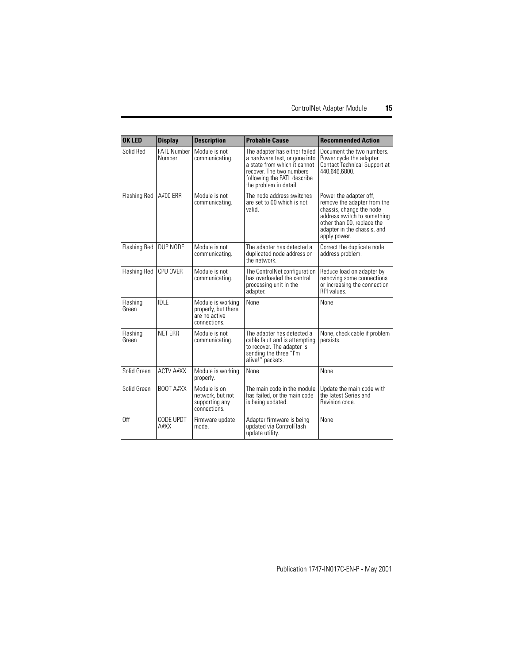| <b>OK LED</b>       | <b>Display</b>               | <b>Description</b>                                                        | <b>Probable Cause</b>                                                                                                                                                               | <b>Recommended Action</b>                                                                                                                                                                     |
|---------------------|------------------------------|---------------------------------------------------------------------------|-------------------------------------------------------------------------------------------------------------------------------------------------------------------------------------|-----------------------------------------------------------------------------------------------------------------------------------------------------------------------------------------------|
| Solid Red           | <b>FATI Number</b><br>Number | Module is not<br>communicating.                                           | The adapter has either failed<br>a hardware test, or gone into<br>a state from which it cannot<br>recover. The two numbers<br>following the FATL describe<br>the problem in detail. | Document the two numbers.<br>Power cycle the adapter.<br>Contact Technical Support at<br>440.646.6800.                                                                                        |
| Flashing Red        | A#00 ERR                     | Module is not<br>communicating.                                           | The node address switches<br>are set to 00 which is not<br>valid.                                                                                                                   | Power the adapter off,<br>remove the adapter from the<br>chassis, change the node<br>address switch to something<br>other than 00, replace the<br>adapter in the chassis, and<br>apply power. |
| <b>Flashing Red</b> | DUP NODE                     | Module is not<br>communicating.                                           | The adapter has detected a<br>duplicated node address on<br>the network.                                                                                                            | Correct the duplicate node<br>address problem.                                                                                                                                                |
| <b>Flashing Red</b> | CPU OVER                     | Module is not<br>communicating.                                           | The ControlNet configuration<br>has overloaded the central<br>processing unit in the<br>adapter.                                                                                    | Reduce load on adapter by<br>removing some connections<br>or increasing the connection<br>RPI values.                                                                                         |
| Flashing<br>Green   | <b>IDLE</b>                  | Module is working<br>properly, but there<br>are no active<br>connections. | None                                                                                                                                                                                | None                                                                                                                                                                                          |
| Flashing<br>Green   | <b>NET ERR</b>               | Module is not<br>communicating.                                           | The adapter has detected a<br>cable fault and is attempting<br>to recover. The adapter is<br>sending the three "I'm<br>alive!" packets.                                             | None, check cable if problem<br>persists.                                                                                                                                                     |
| Solid Green         | <b>ACTV A#XX</b>             | Module is working<br>properly.                                            | None                                                                                                                                                                                | None                                                                                                                                                                                          |
| Solid Green         | BOOT A#XX                    | Module is on<br>network, but not<br>supporting any<br>connections.        | The main code in the module<br>has failed, or the main code<br>is being updated.                                                                                                    | Update the main code with<br>the latest Series and<br>Revision code.                                                                                                                          |
| 0ff                 | CODE UPDT<br>A#XX            | Firmware update<br>mode.                                                  | Adapter firmware is being<br>updated via ControlFlash<br>update utility.                                                                                                            | None                                                                                                                                                                                          |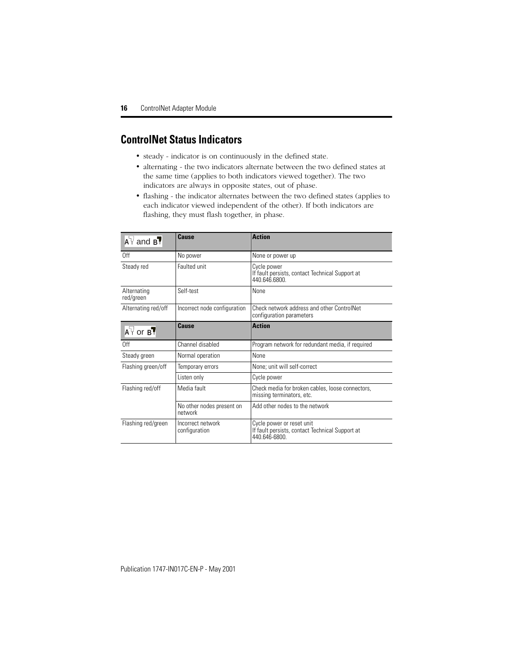## **ControlNet Status Indicators**

- steady indicator is on continuously in the defined state.
- alternating the two indicators alternate between the two defined states at the same time (applies to both indicators viewed together). The two indicators are always in opposite states, out of phase.
- flashing the indicator alternates between the two defined states (applies to each indicator viewed independent of the other). If both indicators are flashing, they must flash together, in phase.

| $A^T$ and $B^T$              | Cause                                | <b>Action</b>                                                                                 |
|------------------------------|--------------------------------------|-----------------------------------------------------------------------------------------------|
| 0ff                          | No power                             | None or power up                                                                              |
| Steady red                   | Faulted unit                         | Cycle power<br>If fault persists, contact Technical Support at<br>440.646.6800.               |
| Alternating<br>red/green     | Self-test                            | None                                                                                          |
| Alternating red/off          | Incorrect node configuration         | Check network address and other ControlNet<br>configuration parameters                        |
| $A^{\nabla}$ or $B^{\nabla}$ | Cause                                | <b>Action</b>                                                                                 |
| 0ff                          | Channel disabled                     | Program network for redundant media, if required                                              |
| Steady green                 | Normal operation                     | None                                                                                          |
| Flashing green/off           | Temporary errors                     | None; unit will self-correct                                                                  |
|                              | Listen only                          | Cycle power                                                                                   |
| Flashing red/off             | Media fault                          | Check media for broken cables, loose connectors,<br>missing terminators, etc.                 |
|                              | No other nodes present on<br>network | Add other nodes to the network                                                                |
| Flashing red/green           | Incorrect network<br>configuration   | Cycle power or reset unit<br>If fault persists, contact Technical Support at<br>440.646-6800. |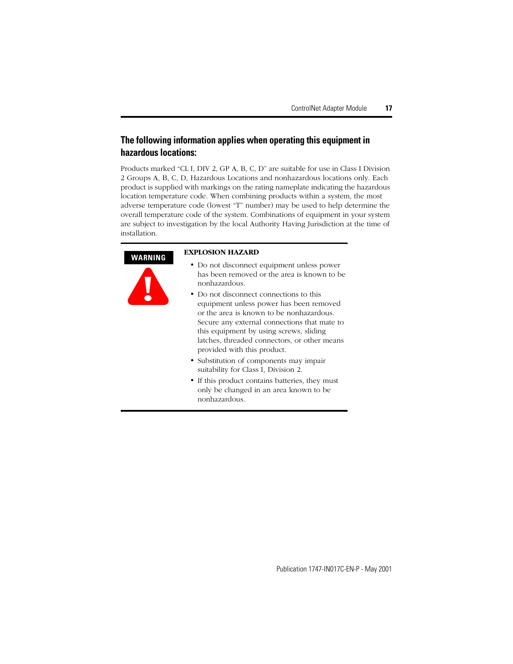### **The following information applies when operating this equipment in hazardous locations:**

Products marked "CL I, DIV 2, GP A, B, C, D" are suitable for use in Class I Division 2 Groups A, B, C, D, Hazardous Locations and nonhazardous locations only. Each product is supplied with markings on the rating nameplate indicating the hazardous location temperature code. When combining products within a system, the most adverse temperature code (lowest "T" number) may be used to help determine the overall temperature code of the system. Combinations of equipment in your system are subject to investigation by the local Authority Having Jurisdiction at the time of installation.

#### **WARNING**



#### **EXPLOSION HAZARD**

- Do not disconnect equipment unless power has been removed or the area is known to be nonhazardous.
- Do not disconnect connections to this equipment unless power has been removed or the area is known to be nonhazardous. Secure any external connections that mate to this equipment by using screws, sliding latches, threaded connectors, or other means provided with this product.
- Substitution of components may impair suitability for Class I, Division 2.
- If this product contains batteries, they must only be changed in an area known to be nonhazardous.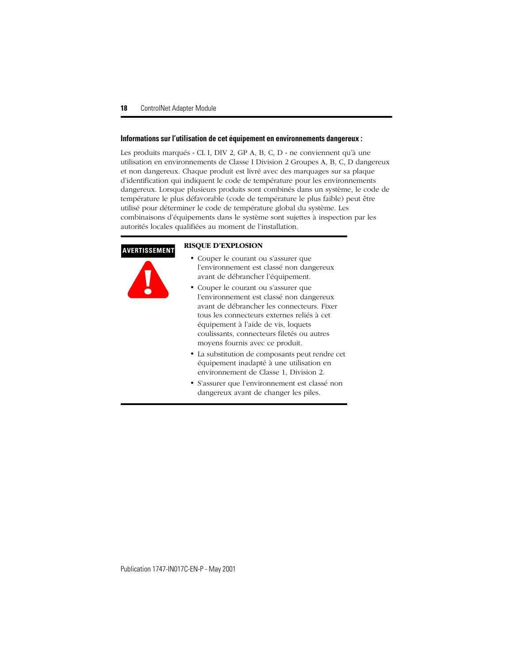#### **Informations sur l'utilisation de cet équipement en environnements dangereux :**

Les produits marqués « CL I, DIV 2, GP A, B, C, D » ne conviennent qu'à une utilisation en environnements de Classe I Division 2 Groupes A, B, C, D dangereux et non dangereux. Chaque produit est livré avec des marquages sur sa plaque d'identification qui indiquent le code de température pour les environnements dangereux. Lorsque plusieurs produits sont combinés dans un système, le code de température le plus défavorable (code de température le plus faible) peut être utilisé pour déterminer le code de température global du système. Les combinaisons d'équipements dans le système sont sujettes à inspection par les autorités locales qualifiées au moment de l'installation.

#### **AVERTISSEMENT**



#### **RISQUE D'EXPLOSION**

- Couper le courant ou s'assurer que l'environnement est classé non dangereux avant de débrancher l'équipement.
- Couper le courant ou s'assurer que l'environnement est classé non dangereux avant de débrancher les connecteurs. Fixer tous les connecteurs externes reliés à cet équipement à l'aide de vis, loquets coulissants, connecteurs filetés ou autres moyens fournis avec ce produit.
- La substitution de composants peut rendre cet équipement inadapté à une utilisation en environnement de Classe 1, Division 2.
- S'assurer que l'environnement est classé non dangereux avant de changer les piles.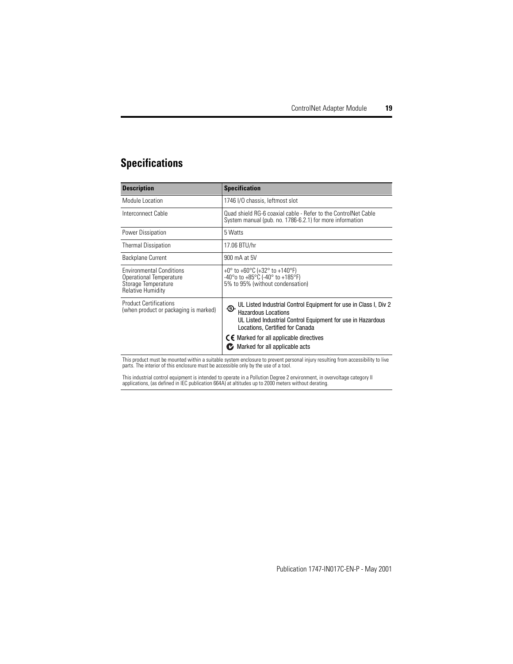## **Specifications**

| <b>Description</b>                                                                                            | <b>Specification</b>                                                                                                                                                                                                                                                                          |
|---------------------------------------------------------------------------------------------------------------|-----------------------------------------------------------------------------------------------------------------------------------------------------------------------------------------------------------------------------------------------------------------------------------------------|
| Module Location                                                                                               | 1746 I/O chassis, leftmost slot                                                                                                                                                                                                                                                               |
| Interconnect Cable                                                                                            | Quad shield RG-6 coaxial cable - Refer to the ControlNet Cable<br>System manual (pub. no. 1786-6.2.1) for more information                                                                                                                                                                    |
| Power Dissipation                                                                                             | 5 Watts                                                                                                                                                                                                                                                                                       |
| <b>Thermal Dissipation</b>                                                                                    | 17.06 BTU/hr                                                                                                                                                                                                                                                                                  |
| <b>Backplane Current</b>                                                                                      | 900 mA at 5V                                                                                                                                                                                                                                                                                  |
| <b>Environmental Conditions</b><br>Operational Temperature<br>Storage Temperature<br><b>Relative Humidity</b> | +0° to +60°C (+32° to +140°F)<br>-40 $^{\circ}$ o to +85 $^{\circ}$ C (-40 $^{\circ}$ to +185 $^{\circ}$ F)<br>5% to 95% (without condensation)                                                                                                                                               |
| <b>Product Certifications</b><br>(when product or packaging is marked)                                        | UL Listed Industrial Control Equipment for use in Class I, Div 2<br>.Q.<br><b>Hazardous Locations</b><br>UL Listed Industrial Control Equipment for use in Hazardous<br>Locations, Certified for Canada<br>$\zeta \in$ Marked for all applicable directives<br>Marked for all applicable acts |

This product must be mounted within a suitable system enclosure to prevent personal injury resulting from accessibility to live parts. The interior of this enclosure must be accessible only by the use of a tool.

This industrial control equipment is intended to operate in a Pollution Degree 2 environment, in overvoltage category II<br>applications, (as defined in IEC publication 664A) at altitudes up to 2000 meters without derating.